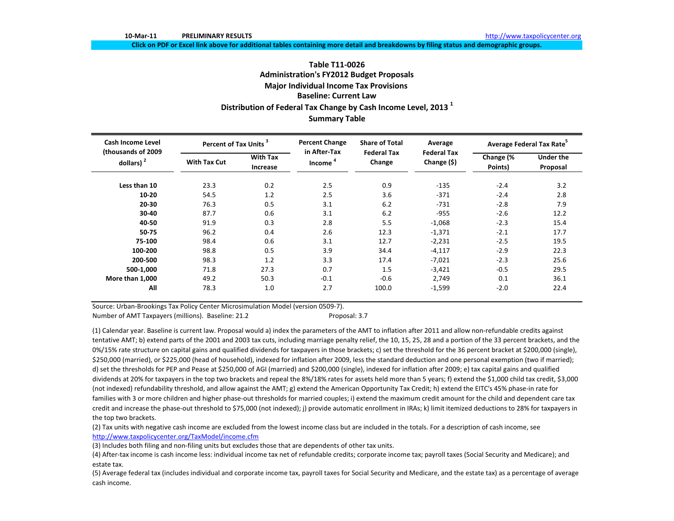Click on PDF or Excel link above for additional tables containing more detail and breakdowns by filing status and demographic groups.

# **Table T11‐0026Administration's FY2012 Budget Proposals Major Individual Income Tax Provisions Baseline: Current LawDistribution of Federal Tax Change by Cash Income Level, <sup>2013</sup> <sup>1</sup> Summary Table**

| <b>Cash Income Level</b>            | Percent of Tax Units <sup>3</sup> |                             | <b>Percent Change</b>  | <b>Share of Total</b>        | Average                           | Average Federal Tax Rate <sup>5</sup> |                              |  |
|-------------------------------------|-----------------------------------|-----------------------------|------------------------|------------------------------|-----------------------------------|---------------------------------------|------------------------------|--|
| (thousands of 2009)<br>dollars) $2$ | <b>With Tax Cut</b>               | <b>With Tax</b><br>Increase | in After-Tax<br>Income | <b>Federal Tax</b><br>Change | <b>Federal Tax</b><br>Change (\$) | Change (%<br>Points)                  | <b>Under the</b><br>Proposal |  |
| Less than 10                        | 23.3                              | 0.2                         | 2.5                    | 0.9                          | $-135$                            | $-2.4$                                | 3.2                          |  |
| $10 - 20$                           | 54.5                              | 1.2                         | 2.5                    | 3.6                          | $-371$                            | $-2.4$                                | 2.8                          |  |
| $20 - 30$                           | 76.3                              | 0.5                         | 3.1                    | 6.2                          | $-731$                            | $-2.8$                                | 7.9                          |  |
| 30-40                               | 87.7                              | 0.6                         | 3.1                    | 6.2                          | $-955$                            | $-2.6$                                | 12.2                         |  |
| 40-50                               | 91.9                              | 0.3                         | 2.8                    | 5.5                          | $-1,068$                          | $-2.3$                                | 15.4                         |  |
| 50-75                               | 96.2                              | 0.4                         | 2.6                    | 12.3                         | $-1,371$                          | $-2.1$                                | 17.7                         |  |
| 75-100                              | 98.4                              | 0.6                         | 3.1                    | 12.7                         | $-2,231$                          | $-2.5$                                | 19.5                         |  |
| 100-200                             | 98.8                              | 0.5                         | 3.9                    | 34.4                         | $-4,117$                          | $-2.9$                                | 22.3                         |  |
| 200-500                             | 98.3                              | 1.2                         | 3.3                    | 17.4                         | $-7,021$                          | $-2.3$                                | 25.6                         |  |
| 500-1,000                           | 71.8                              | 27.3                        | 0.7                    | 1.5                          | $-3,421$                          | $-0.5$                                | 29.5                         |  |
| More than 1,000                     | 49.2                              | 50.3                        | $-0.1$                 | $-0.6$                       | 2,749                             | 0.1                                   | 36.1                         |  |
| All                                 | 78.3                              | 1.0                         | 2.7                    | 100.0                        | $-1,599$                          | $-2.0$                                | 22.4                         |  |

Source: Urban‐Brookings Tax Policy Center Microsimulation Model (version 0509‐7).

Number of AMT Taxpayers (millions). Baseline: 21.2 Proposal: 3.7

(1) Calendar year. Baseline is current law. Proposal would a) index the parameters of the AMT to inflation after 2011 and allow non‐refundable credits against tentative AMT; b) extend parts of the 2001 and 2003 tax cuts, including marriage penalty relief, the 10, 15, 25, 28 and <sup>a</sup> portion of the 33 percent brackets, and the 0%/15% rate structure on capital gains and qualified dividends for taxpayers in those brackets; c) set the threshold for the 36 percent bracket at \$200,000 (single), \$250,000 (married), or \$225,000 (head of household), indexed for inflation after 2009, less the standard deduction and one personal exemption (two if married); d) set the thresholds for PEP and Pease at \$250,000 of AGI (married) and \$200,000 (single), indexed for inflation after 2009; e) tax capital gains and qualified dividends at 20% for taxpayers in the top two brackets and repeal the 8%/18% rates for assets held more than <sup>5</sup> years; f) extend the \$1,000 child tax credit, \$3,000 (not indexed) refundability threshold, and allow against the AMT; g) extend the American Opportunity Tax Credit; h) extend the EITC's 45% phase‐in rate for families with 3 or more children and higher phase‐out thresholds for married couples; i) extend the maximum credit amount for the child and dependent care tax credit and increase the phase‐out threshold to \$75,000 (not indexed); j) provide automatic enrollment in IRAs; k) limit itemized deductions to 28% for taxpayers in the top two brackets.

(2) Tax units with negative cash income are excluded from the lowest income class but are included in the totals. For <sup>a</sup> description of cash income, see http://www.taxpolicycenter.org/TaxModel/income.cfm

(3) Includes both filing and non‐filing units but excludes those that are dependents of other tax units.

(4) After‐tax income is cash income less: individual income tax net of refundable credits; corporate income tax; payroll taxes (Social Security and Medicare); and estate tax.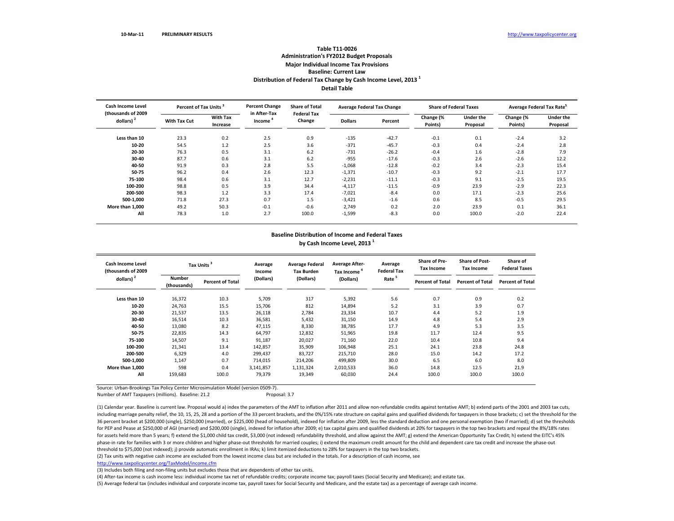### **Table T11‐0026 Administration's FY2012 Budget Proposals Major Individual Income Tax Provisions Baseline: Current LawDistribution of Federal Tax Change by Cash Income Level, <sup>2013</sup> <sup>1</sup> Detail Table**

| <b>Cash Income Level</b><br>(thousands of 2009 | Percent of Tax Units <sup>3</sup> |                             | <b>Percent Change</b><br>in After-Tax | <b>Share of Total</b><br><b>Federal Tax</b> | <b>Average Federal Tax Change</b> |         |                      | <b>Share of Federal Taxes</b> | Average Federal Tax Rate <sup>5</sup> |                              |  |
|------------------------------------------------|-----------------------------------|-----------------------------|---------------------------------------|---------------------------------------------|-----------------------------------|---------|----------------------|-------------------------------|---------------------------------------|------------------------------|--|
| dollars) $2$                                   | <b>With Tax Cut</b>               | <b>With Tax</b><br>Increase | Income                                | Change                                      | <b>Dollars</b>                    | Percent | Change (%<br>Points) | <b>Under the</b><br>Proposal  | Change (%<br>Points)                  | <b>Under the</b><br>Proposal |  |
| Less than 10                                   | 23.3                              | 0.2                         | 2.5                                   | 0.9                                         | $-135$                            | $-42.7$ | $-0.1$               | 0.1                           | $-2.4$                                | 3.2                          |  |
| 10-20                                          | 54.5                              | 1.2                         | 2.5                                   | 3.6                                         | $-371$                            | $-45.7$ | $-0.3$               | 0.4                           | $-2.4$                                | 2.8                          |  |
| 20-30                                          | 76.3                              | 0.5                         | 3.1                                   | 6.2                                         | $-731$                            | $-26.2$ | $-0.4$               | 1.6                           | $-2.8$                                | 7.9                          |  |
| 30-40                                          | 87.7                              | 0.6                         | 3.1                                   | 6.2                                         | $-955$                            | $-17.6$ | $-0.3$               | 2.6                           | $-2.6$                                | 12.2                         |  |
| 40-50                                          | 91.9                              | 0.3                         | 2.8                                   | 5.5                                         | $-1,068$                          | $-12.8$ | $-0.2$               | 3.4                           | $-2.3$                                | 15.4                         |  |
| 50-75                                          | 96.2                              | 0.4                         | 2.6                                   | 12.3                                        | $-1,371$                          | $-10.7$ | $-0.3$               | 9.2                           | $-2.1$                                | 17.7                         |  |
| 75-100                                         | 98.4                              | 0.6                         | 3.1                                   | 12.7                                        | $-2,231$                          | $-11.1$ | $-0.3$               | 9.1                           | $-2.5$                                | 19.5                         |  |
| 100-200                                        | 98.8                              | 0.5                         | 3.9                                   | 34.4                                        | $-4,117$                          | $-11.5$ | $-0.9$               | 23.9                          | $-2.9$                                | 22.3                         |  |
| 200-500                                        | 98.3                              | 1.2                         | 3.3                                   | 17.4                                        | $-7,021$                          | $-8.4$  | 0.0                  | 17.1                          | $-2.3$                                | 25.6                         |  |
| 500-1,000                                      | 71.8                              | 27.3                        | 0.7                                   | 1.5                                         | $-3,421$                          | $-1.6$  | 0.6                  | 8.5                           | $-0.5$                                | 29.5                         |  |
| More than 1.000                                | 49.2                              | 50.3                        | $-0.1$                                | $-0.6$                                      | 2,749                             | 0.2     | 2.0                  | 23.9                          | 0.1                                   | 36.1                         |  |
| All                                            | 78.3                              | 1.0                         | 2.7                                   | 100.0                                       | $-1,599$                          | $-8.3$  | 0.0                  | 100.0                         | $-2.0$                                | 22.4                         |  |

#### **Baseline Distribution of Income and Federal Taxes**

**by Cash Income Level, <sup>2013</sup> <sup>1</sup>**

| <b>Cash Income Level</b><br>(thousands of 2009) | <b>Tax Units</b>             |                         | Average<br>Income | <b>Average Federal</b><br><b>Tax Burden</b> | <b>Average After-</b><br>Tax Income <sup>4</sup> | Average<br><b>Federal Tax</b> | <b>Share of Pre-</b><br><b>Tax Income</b> | <b>Share of Post-</b><br><b>Tax Income</b> | Share of<br><b>Federal Taxes</b> |
|-------------------------------------------------|------------------------------|-------------------------|-------------------|---------------------------------------------|--------------------------------------------------|-------------------------------|-------------------------------------------|--------------------------------------------|----------------------------------|
| dollars) <sup>2</sup>                           | <b>Number</b><br>(thousands) | <b>Percent of Total</b> | (Dollars)         | (Dollars)                                   | (Dollars)                                        | Rate <sup>5</sup>             | <b>Percent of Total</b>                   | <b>Percent of Total</b>                    | <b>Percent of Total</b>          |
| Less than 10                                    | 16,372                       | 10.3                    | 5,709             | 317                                         | 5,392                                            | 5.6                           | 0.7                                       | 0.9                                        | 0.2                              |
| 10-20                                           | 24,763                       | 15.5                    | 15,706            | 812                                         | 14,894                                           | 5.2                           | 3.1                                       | 3.9                                        | 0.7                              |
| 20-30                                           | 21,537                       | 13.5                    | 26,118            | 2,784                                       | 23,334                                           | 10.7                          | 4.4                                       | 5.2                                        | 1.9                              |
| 30-40                                           | 16.514                       | 10.3                    | 36,581            | 5,432                                       | 31,150                                           | 14.9                          | 4.8                                       | 5.4                                        | 2.9                              |
| 40-50                                           | 13,080                       | 8.2                     | 47,115            | 8,330                                       | 38,785                                           | 17.7                          | 4.9                                       | 5.3                                        | 3.5                              |
| 50-75                                           | 22,835                       | 14.3                    | 64,797            | 12,832                                      | 51,965                                           | 19.8                          | 11.7                                      | 12.4                                       | 9.5                              |
| 75-100                                          | 14,507                       | 9.1                     | 91,187            | 20,027                                      | 71,160                                           | 22.0                          | 10.4                                      | 10.8                                       | 9.4                              |
| 100-200                                         | 21,341                       | 13.4                    | 142,857           | 35,909                                      | 106,948                                          | 25.1                          | 24.1                                      | 23.8                                       | 24.8                             |
| 200-500                                         | 6,329                        | 4.0                     | 299,437           | 83.727                                      | 215.710                                          | 28.0                          | 15.0                                      | 14.2                                       | 17.2                             |
| 500-1,000                                       | 1,147                        | 0.7                     | 714,015           | 214,206                                     | 499,809                                          | 30.0                          | 6.5                                       | 6.0                                        | 8.0                              |
| More than 1,000                                 | 598                          | 0.4                     | 3,141,857         | 1,131,324                                   | 2,010,533                                        | 36.0                          | 14.8                                      | 12.5                                       | 21.9                             |
| All                                             | 159,683                      | 100.0                   | 79,379            | 19,349                                      | 60,030                                           | 24.4                          | 100.0                                     | 100.0                                      | 100.0                            |

Source: Urban‐Brookings Tax Policy Center Microsimulation Model (version 0509‐7).

Number of AMT Taxpayers (millions). Baseline: 21.2 Proposal: 3.7

(1) Calendar year. Baseline is current law. Proposal would a) index the parameters of the AMT to inflation after 2011 and allow non-refundable credits against tentative AMT; b) extend parts of the 2001 and 2003 tax cuts, including marriage penalty relief, the 10, 15, 25, 28 and a portion of the 33 percent brackets, and the 0%/15% rate structure on capital gains and qualified dividends for taxpayers in those brackets; c) set the threshold f 36 percent bracket at \$200,000 (single), \$250,000 (married), or \$225,000 (head of household), indexed for inflation after 2009, less the standard deduction and one personal exemption (two if married); d) set the thresholds for PEP and Pease at \$250,000 of AGI (married) and \$200,000 (single), indexed for inflation after 2009; e) tax capital gains and qualified dividends at 20% for taxpayers in the top two brackets and repeal the 8%/18% rates for assets held more than 5 years; f) extend the \$1,000 child tax credit, \$3,000 (not indexed) refundability threshold, and allow against the AMT; g) extend the American Opportunity Tax Credit; h) extend the EITC's 45% phase‐in rate for families with 3 or more children and higher phase‐out thresholds for married couples; i) extend the maximum credit amount for the child and dependent care tax credit and increase the phase‐out threshold to \$75,000 (not indexed); j) provide automatic enrollment in IRAs; k) limit itemized deductions to 28% for taxpayers in the top two brackets.

(2) Tax units with negative cash income are excluded from the lowest income class but are included in the totals. For <sup>a</sup> description of cash income, see

http://www.taxpolicycenter.org/TaxModel/income.cfm

(3) Includes both filing and non-filing units but excludes those that are dependents of other tax units.

(4) After‐tax income is cash income less: individual income tax net of refundable credits; corporate income tax; payroll taxes (Social Security and Medicare); and estate tax.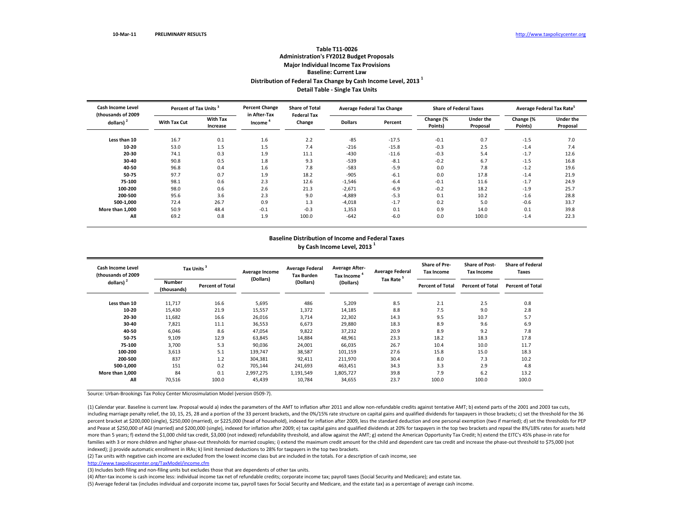# **Table T11‐0026 Administration's FY2012 Budget Proposals Major Individual Income Tax Provisions Baseline: Current LawDistribution of Federal Tax Change by Cash Income Level, <sup>2013</sup> <sup>1</sup> Detail Table ‐ Single Tax Units**

| Cash Income Level<br>(thousands of 2009) | Percent of Tax Units <sup>3</sup> |                             | <b>Percent Change</b><br>in After-Tax | <b>Share of Total</b><br><b>Federal Tax</b> | <b>Average Federal Tax Change</b> |         | <b>Share of Federal Taxes</b> |                              | Average Federal Tax Rate <sup>5</sup> |                              |
|------------------------------------------|-----------------------------------|-----------------------------|---------------------------------------|---------------------------------------------|-----------------------------------|---------|-------------------------------|------------------------------|---------------------------------------|------------------------------|
| $dollars)$ <sup>2</sup>                  | <b>With Tax Cut</b>               | <b>With Tax</b><br>Increase | Income                                | Change                                      | <b>Dollars</b>                    | Percent | Change (%<br>Points)          | <b>Under the</b><br>Proposal | Change (%<br>Points)                  | <b>Under the</b><br>Proposal |
| Less than 10                             | 16.7                              | 0.1                         | 1.6                                   | 2.2                                         | $-85$                             | $-17.5$ | $-0.1$                        | 0.7                          | $-1.5$                                | 7.0                          |
| 10-20                                    | 53.0                              | 1.5                         | 1.5                                   | 7.4                                         | $-216$                            | $-15.8$ | $-0.3$                        | 2.5                          | $-1.4$                                | 7.4                          |
| 20-30                                    | 74.1                              | 0.3                         | 1.9                                   | 11.1                                        | $-430$                            | $-11.6$ | $-0.3$                        | 5.4                          | $-1.7$                                | 12.6                         |
| 30-40                                    | 90.8                              | 0.5                         | 1.8                                   | 9.3                                         | $-539$                            | $-8.1$  | $-0.2$                        | 6.7                          | $-1.5$                                | 16.8                         |
| 40-50                                    | 96.8                              | 0.4                         | 1.6                                   | 7.8                                         | $-583$                            | $-5.9$  | 0.0                           | 7.8                          | $-1.2$                                | 19.6                         |
| 50-75                                    | 97.7                              | 0.7                         | 1.9                                   | 18.2                                        | $-905$                            | $-6.1$  | 0.0                           | 17.8                         | $-1.4$                                | 21.9                         |
| 75-100                                   | 98.1                              | 0.6                         | 2.3                                   | 12.6                                        | $-1,546$                          | $-6.4$  | $-0.1$                        | 11.6                         | $-1.7$                                | 24.9                         |
| 100-200                                  | 98.0                              | 0.6                         | 2.6                                   | 21.3                                        | $-2,671$                          | $-6.9$  | $-0.2$                        | 18.2                         | $-1.9$                                | 25.7                         |
| 200-500                                  | 95.6                              | 3.6                         | 2.3                                   | 9.0                                         | $-4,889$                          | $-5.3$  | 0.1                           | 10.2                         | $-1.6$                                | 28.8                         |
| 500-1,000                                | 72.4                              | 26.7                        | 0.9                                   | 1.3                                         | $-4,018$                          | $-1.7$  | 0.2                           | 5.0                          | $-0.6$                                | 33.7                         |
| More than 1.000                          | 50.9                              | 48.4                        | $-0.1$                                | $-0.3$                                      | 1,353                             | 0.1     | 0.9                           | 14.0                         | 0.1                                   | 39.8                         |
| All                                      | 69.2                              | 0.8                         | 1.9                                   | 100.0                                       | $-642$                            | $-6.0$  | 0.0                           | 100.0                        | $-1.4$                                | 22.3                         |

#### **Baseline Distribution of Income and Federal Taxes by Cash Income Level, <sup>2013</sup> <sup>1</sup>**

| <b>Cash Income Level</b><br>(thousands of 2009 | <b>Tax Units</b>             |                         | Average Income | <b>Average Federal</b><br><b>Tax Burden</b> | <b>Average After-</b><br>Tax Income | <b>Average Federal</b> | <b>Share of Pre-</b><br><b>Tax Income</b> | <b>Share of Post-</b><br><b>Tax Income</b> | <b>Share of Federal</b><br>Taxes |
|------------------------------------------------|------------------------------|-------------------------|----------------|---------------------------------------------|-------------------------------------|------------------------|-------------------------------------------|--------------------------------------------|----------------------------------|
| dollars) $2$                                   | <b>Number</b><br>(thousands) | <b>Percent of Total</b> | (Dollars)      | (Dollars)                                   | (Dollars)                           | Tax Rate <sup>5</sup>  | <b>Percent of Total</b>                   | <b>Percent of Total</b>                    | <b>Percent of Total</b>          |
| Less than 10                                   | 11,717                       | 16.6                    | 5,695          | 486                                         | 5,209                               | 8.5                    | 2.1                                       | 2.5                                        | 0.8                              |
| 10-20                                          | 15.430                       | 21.9                    | 15,557         | 1,372                                       | 14,185                              | 8.8                    | 7.5                                       | 9.0                                        | 2.8                              |
| 20-30                                          | 11,682                       | 16.6                    | 26,016         | 3,714                                       | 22,302                              | 14.3                   | 9.5                                       | 10.7                                       | 5.7                              |
| 30-40                                          | 7,821                        | 11.1                    | 36,553         | 6,673                                       | 29,880                              | 18.3                   | 8.9                                       | 9.6                                        | 6.9                              |
| 40-50                                          | 6.046                        | 8.6                     | 47,054         | 9,822                                       | 37,232                              | 20.9                   | 8.9                                       | 9.2                                        | 7.8                              |
| 50-75                                          | 9,109                        | 12.9                    | 63,845         | 14,884                                      | 48,961                              | 23.3                   | 18.2                                      | 18.3                                       | 17.8                             |
| 75-100                                         | 3,700                        | 5.3                     | 90,036         | 24,001                                      | 66,035                              | 26.7                   | 10.4                                      | 10.0                                       | 11.7                             |
| 100-200                                        | 3,613                        | 5.1                     | 139,747        | 38,587                                      | 101,159                             | 27.6                   | 15.8                                      | 15.0                                       | 18.3                             |
| 200-500                                        | 837                          | 1.2                     | 304,381        | 92,411                                      | 211,970                             | 30.4                   | 8.0                                       | 7.3                                        | 10.2                             |
| 500-1,000                                      | 151                          | 0.2                     | 705,144        | 241,693                                     | 463,451                             | 34.3                   | 3.3                                       | 2.9                                        | 4.8                              |
| More than 1,000                                | 84                           | 0.1                     | 2,997,275      | 1,191,549                                   | 1,805,727                           | 39.8                   | 7.9                                       | 6.2                                        | 13.2                             |
| All                                            | 70,516                       | 100.0                   | 45,439         | 10,784                                      | 34,655                              | 23.7                   | 100.0                                     | 100.0                                      | 100.0                            |

Source: Urban‐Brookings Tax Policy Center Microsimulation Model (version 0509‐7).

(1) Calendar year. Baseline is current law. Proposal would a) index the parameters of the AMT to inflation after 2011 and allow non‐refundable credits against tentative AMT; b) extend parts of the 2001 and 2003 tax cuts, including marriage penalty relief, the 10, 15, 25, 28 and a portion of the 33 percent brackets, and the 0%/15% rate structure on capital gains and qualified dividends for taxpayers in those brackets; c) set the threshold f percent bracket at \$200,000 (single), \$250,000 (married), or \$225,000 (head of household), indexed for inflation after 2009, less the standard deduction and one personal exemption (two if married); d) set the thresholds fo and Pease at \$250,000 of AGI (married) and \$200,000 (single), indexed for inflation after 2009; e) tax capital gains and qualified dividends at 20% for taxpayers in the top two brackets and repeal the 8%/18% rates for asse more than 5 years; f) extend the \$1,000 child tax credit, \$3,000 (not indexed) refundability threshold, and allow against the AMT; g) extend the American Opportunity Tax Credit; h) extend the EITC's 45% phase-in rate for families with 3 or more children and higher phase‐out thresholds for married couples; i) extend the maximum credit amount for the child and dependent care tax credit and increase the phase‐out threshold to \$75,000 (not indexed); j) provide automatic enrollment in IRAs; k) limit itemized deductions to 28% for taxpayers in the top two brackets.

(2) Tax units with negative cash income are excluded from the lowest income class but are included in the totals. For <sup>a</sup> description of cash income, see

http://www.taxpolicycenter.org/TaxModel/income.cfm

(3) Includes both filing and non-filing units but excludes those that are dependents of other tax units.

(4) After‐tax income is cash income less: individual income tax net of refundable credits; corporate income tax; payroll taxes (Social Security and Medicare); and estate tax.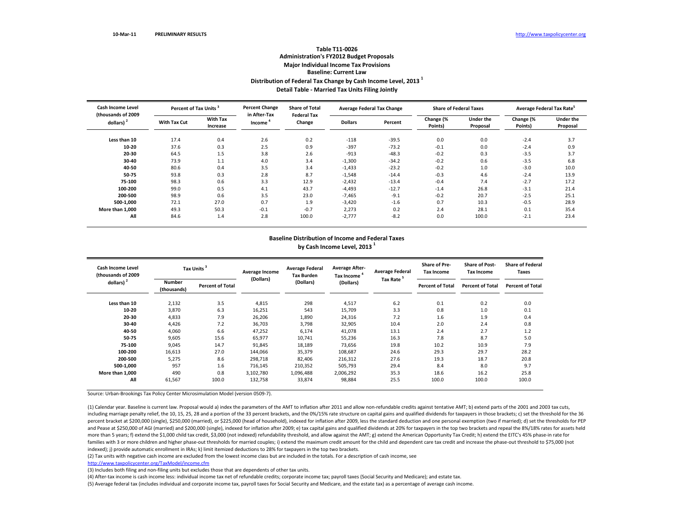# **Table T11‐0026 Administration's FY2012 Budget Proposals Major Individual Income Tax Provisions Baseline: Current LawDistribution of Federal Tax Change by Cash Income Level, <sup>2013</sup> <sup>1</sup> Detail Table ‐ Married Tax Units Filing Jointly**

| <b>Cash Income Level</b>           | Percent of Tax Units <sup>3</sup> |                             | <b>Percent Change</b><br>in After-Tax | <b>Share of Total</b><br><b>Federal Tax</b> | <b>Average Federal Tax Change</b> |         | <b>Share of Federal Taxes</b> |                              | Average Federal Tax Rate <sup>5</sup> |                       |
|------------------------------------|-----------------------------------|-----------------------------|---------------------------------------|---------------------------------------------|-----------------------------------|---------|-------------------------------|------------------------------|---------------------------------------|-----------------------|
| (thousands of 2009<br>dollars) $2$ | <b>With Tax Cut</b>               | <b>With Tax</b><br>Increase | Income                                | Change                                      | <b>Dollars</b>                    | Percent | Change (%<br>Points)          | <b>Under the</b><br>Proposal | Change (%<br>Points)                  | Under the<br>Proposal |
| Less than 10                       | 17.4                              | 0.4                         | 2.6                                   | 0.2                                         | $-118$                            | $-39.5$ | 0.0                           | 0.0                          | $-2.4$                                | 3.7                   |
| 10-20                              | 37.6                              | 0.3                         | 2.5                                   | 0.9                                         | $-397$                            | $-73.2$ | $-0.1$                        | 0.0                          | $-2.4$                                | 0.9                   |
| 20-30                              | 64.5                              | 1.5                         | 3.8                                   | 2.6                                         | $-913$                            | $-48.3$ | $-0.2$                        | 0.3                          | $-3.5$                                | 3.7                   |
| 30-40                              | 73.9                              | 1.1                         | 4.0                                   | 3.4                                         | $-1,300$                          | $-34.2$ | $-0.2$                        | 0.6                          | $-3.5$                                | 6.8                   |
| 40-50                              | 80.6                              | 0.4                         | 3.5                                   | 3.4                                         | $-1,433$                          | $-23.2$ | $-0.2$                        | 1.0                          | $-3.0$                                | 10.0                  |
| 50-75                              | 93.8                              | 0.3                         | 2.8                                   | 8.7                                         | $-1,548$                          | $-14.4$ | $-0.3$                        | 4.6                          | $-2.4$                                | 13.9                  |
| 75-100                             | 98.3                              | 0.6                         | 3.3                                   | 12.9                                        | $-2,432$                          | $-13.4$ | $-0.4$                        | 7.4                          | $-2.7$                                | 17.2                  |
| 100-200                            | 99.0                              | 0.5                         | 4.1                                   | 43.7                                        | $-4,493$                          | $-12.7$ | $-1.4$                        | 26.8                         | $-3.1$                                | 21.4                  |
| 200-500                            | 98.9                              | 0.6                         | 3.5                                   | 23.0                                        | $-7,465$                          | $-9.1$  | $-0.2$                        | 20.7                         | $-2.5$                                | 25.1                  |
| 500-1,000                          | 72.1                              | 27.0                        | 0.7                                   | 1.9                                         | $-3,420$                          | $-1.6$  | 0.7                           | 10.3                         | $-0.5$                                | 28.9                  |
| More than 1.000                    | 49.3                              | 50.3                        | $-0.1$                                | $-0.7$                                      | 2,273                             | 0.2     | 2.4                           | 28.1                         | 0.1                                   | 35.4                  |
| All                                | 84.6                              | 1.4                         | 2.8                                   | 100.0                                       | $-2,777$                          | $-8.2$  | 0.0                           | 100.0                        | $-2.1$                                | 23.4                  |

#### **Baseline Distribution of Income and Federal Taxes by Cash Income Level, <sup>2013</sup> <sup>1</sup>**

| <b>Cash Income Level</b><br>(thousands of 2009 | <b>Tax Units</b>             |                         | Average Income | <b>Average Federal</b><br><b>Tax Burden</b> | <b>Average After-</b><br>Tax Income | <b>Average Federal</b> | <b>Share of Pre-</b><br><b>Tax Income</b> | <b>Share of Post-</b><br><b>Tax Income</b> | <b>Share of Federal</b><br>Taxes |
|------------------------------------------------|------------------------------|-------------------------|----------------|---------------------------------------------|-------------------------------------|------------------------|-------------------------------------------|--------------------------------------------|----------------------------------|
| dollars) $2$                                   | <b>Number</b><br>(thousands) | <b>Percent of Total</b> | (Dollars)      | (Dollars)                                   | (Dollars)                           | Tax Rate <sup>5</sup>  | <b>Percent of Total</b>                   | <b>Percent of Total</b>                    | <b>Percent of Total</b>          |
| Less than 10                                   | 2,132                        | 3.5                     | 4,815          | 298                                         | 4,517                               | 6.2                    | 0.1                                       | 0.2                                        | 0.0                              |
| 10-20                                          | 3,870                        | 6.3                     | 16,251         | 543                                         | 15,709                              | 3.3                    | 0.8                                       | 1.0                                        | 0.1                              |
| 20-30                                          | 4,833                        | 7.9                     | 26,206         | 1,890                                       | 24,316                              | 7.2                    | 1.6                                       | 1.9                                        | 0.4                              |
| 30-40                                          | 4,426                        | 7.2                     | 36,703         | 3,798                                       | 32,905                              | 10.4                   | 2.0                                       | 2.4                                        | 0.8                              |
| 40-50                                          | 4,060                        | 6.6                     | 47,252         | 6,174                                       | 41,078                              | 13.1                   | 2.4                                       | 2.7                                        | 1.2                              |
| 50-75                                          | 9,605                        | 15.6                    | 65,977         | 10,741                                      | 55,236                              | 16.3                   | 7.8                                       | 8.7                                        | 5.0                              |
| 75-100                                         | 9,045                        | 14.7                    | 91,845         | 18,189                                      | 73,656                              | 19.8                   | 10.2                                      | 10.9                                       | 7.9                              |
| 100-200                                        | 16,613                       | 27.0                    | 144,066        | 35,379                                      | 108,687                             | 24.6                   | 29.3                                      | 29.7                                       | 28.2                             |
| 200-500                                        | 5,275                        | 8.6                     | 298,718        | 82,406                                      | 216,312                             | 27.6                   | 19.3                                      | 18.7                                       | 20.8                             |
| 500-1,000                                      | 957                          | 1.6                     | 716,145        | 210,352                                     | 505,793                             | 29.4                   | 8.4                                       | 8.0                                        | 9.7                              |
| More than 1.000                                | 490                          | 0.8                     | 3,102,780      | 1,096,488                                   | 2,006,292                           | 35.3                   | 18.6                                      | 16.2                                       | 25.8                             |
| All                                            | 61,567                       | 100.0                   | 132,758        | 33,874                                      | 98,884                              | 25.5                   | 100.0                                     | 100.0                                      | 100.0                            |

Source: Urban‐Brookings Tax Policy Center Microsimulation Model (version 0509‐7).

(1) Calendar year. Baseline is current law. Proposal would a) index the parameters of the AMT to inflation after 2011 and allow non‐refundable credits against tentative AMT; b) extend parts of the 2001 and 2003 tax cuts, including marriage penalty relief, the 10, 15, 25, 28 and a portion of the 33 percent brackets, and the 0%/15% rate structure on capital gains and qualified dividends for taxpayers in those brackets; c) set the threshold f percent bracket at \$200,000 (single), \$250,000 (married), or \$225,000 (head of household), indexed for inflation after 2009, less the standard deduction and one personal exemption (two if married); d) set the thresholds fo and Pease at \$250,000 of AGI (married) and \$200,000 (single), indexed for inflation after 2009; e) tax capital gains and qualified dividends at 20% for taxpayers in the top two brackets and repeal the 8%/18% rates for asse more than 5 years; f) extend the \$1,000 child tax credit, \$3,000 (not indexed) refundability threshold, and allow against the AMT; g) extend the American Opportunity Tax Credit; h) extend the EITC's 45% phase-in rate for families with 3 or more children and higher phase‐out thresholds for married couples; i) extend the maximum credit amount for the child and dependent care tax credit and increase the phase‐out threshold to \$75,000 (not indexed); j) provide automatic enrollment in IRAs; k) limit itemized deductions to 28% for taxpayers in the top two brackets.

(2) Tax units with negative cash income are excluded from the lowest income class but are included in the totals. For <sup>a</sup> description of cash income, see

http://www.taxpolicycenter.org/TaxModel/income.cfm

(3) Includes both filing and non-filing units but excludes those that are dependents of other tax units.

(4) After‐tax income is cash income less: individual income tax net of refundable credits; corporate income tax; payroll taxes (Social Security and Medicare); and estate tax.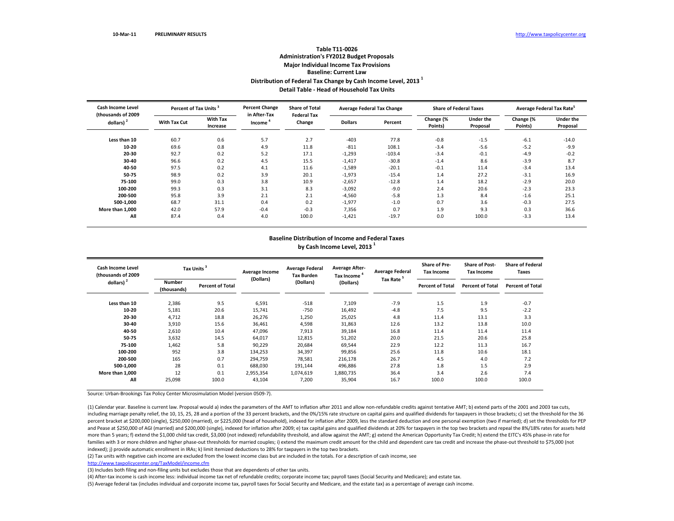# **Table T11‐0026 Administration's FY2012 Budget Proposals Major Individual Income Tax Provisions Baseline: Current LawDistribution of Federal Tax Change by Cash Income Level, <sup>2013</sup> <sup>1</sup> Detail Table ‐ Head of Household Tax Units**

| <b>Cash Income Level</b><br>(thousands of 2009 |                     | Percent of Tax Units <sup>3</sup> |                        | <b>Share of Total</b><br><b>Federal Tax</b> | <b>Average Federal Tax Change</b> |          | <b>Share of Federal Taxes</b> |                              | Average Federal Tax Rate <sup>5</sup> |                              |
|------------------------------------------------|---------------------|-----------------------------------|------------------------|---------------------------------------------|-----------------------------------|----------|-------------------------------|------------------------------|---------------------------------------|------------------------------|
| $dollars)$ <sup>2</sup>                        | <b>With Tax Cut</b> | <b>With Tax</b><br>Increase       | in After-Tax<br>Income | Change                                      | <b>Dollars</b>                    | Percent  | Change (%<br>Points)          | <b>Under the</b><br>Proposal | Change (%<br>Points)                  | <b>Under the</b><br>Proposal |
| Less than 10                                   | 60.7                | 0.6                               | 5.7                    | 2.7                                         | $-403$                            | 77.8     | $-0.8$                        | $-1.5$                       | $-6.1$                                | $-14.0$                      |
| 10-20                                          | 69.6                | 0.8                               | 4.9                    | 11.8                                        | $-811$                            | 108.1    | $-3.4$                        | $-5.6$                       | $-5.2$                                | $-9.9$                       |
| 20-30                                          | 92.7                | 0.2                               | 5.2                    | 17.1                                        | $-1,293$                          | $-103.4$ | $-3.4$                        | $-0.1$                       | $-4.9$                                | $-0.2$                       |
| 30-40                                          | 96.6                | 0.2                               | 4.5                    | 15.5                                        | $-1,417$                          | $-30.8$  | $-1.4$                        | 8.6                          | $-3.9$                                | 8.7                          |
| 40-50                                          | 97.5                | 0.2                               | 4.1                    | 11.6                                        | $-1,589$                          | $-20.1$  | $-0.1$                        | 11.4                         | $-3.4$                                | 13.4                         |
| 50-75                                          | 98.9                | 0.2                               | 3.9                    | 20.1                                        | $-1,973$                          | $-15.4$  | 1.4                           | 27.2                         | $-3.1$                                | 16.9                         |
| 75-100                                         | 99.0                | 0.3                               | 3.8                    | 10.9                                        | $-2,657$                          | $-12.8$  | 1.4                           | 18.2                         | $-2.9$                                | 20.0                         |
| 100-200                                        | 99.3                | 0.3                               | 3.1                    | 8.3                                         | $-3,092$                          | $-9.0$   | 2.4                           | 20.6                         | $-2.3$                                | 23.3                         |
| 200-500                                        | 95.8                | 3.9                               | 2.1                    | 2.1                                         | $-4,560$                          | $-5.8$   | 1.3                           | 8.4                          | $-1.6$                                | 25.1                         |
| 500-1,000                                      | 68.7                | 31.1                              | 0.4                    | 0.2                                         | $-1,977$                          | $-1.0$   | 0.7                           | 3.6                          | $-0.3$                                | 27.5                         |
| More than 1.000                                | 42.0                | 57.9                              | $-0.4$                 | $-0.3$                                      | 7,356                             | 0.7      | 1.9                           | 9.3                          | 0.3                                   | 36.6                         |
| All                                            | 87.4                | 0.4                               | 4.0                    | 100.0                                       | $-1,421$                          | $-19.7$  | 0.0                           | 100.0                        | $-3.3$                                | 13.4                         |

#### **Baseline Distribution of Income and Federal Taxes by Cash Income Level, <sup>2013</sup> <sup>1</sup>**

| <b>Cash Income Level</b><br>(thousands of 2009) | <b>Tax Units</b>      |                         | <b>Average Income</b> | <b>Average Federal</b><br><b>Tax Burden</b> | <b>Average After-</b><br>Tax Income <sup>4</sup> | <b>Average Federal</b> | <b>Share of Pre-</b><br>Tax Income | <b>Share of Post-</b><br><b>Tax Income</b> | <b>Share of Federal</b><br>Taxes |
|-------------------------------------------------|-----------------------|-------------------------|-----------------------|---------------------------------------------|--------------------------------------------------|------------------------|------------------------------------|--------------------------------------------|----------------------------------|
| dollars) $2$                                    | Number<br>(thousands) | <b>Percent of Total</b> | (Dollars)             | (Dollars)                                   | (Dollars)                                        | <b>Tax Rate</b>        | <b>Percent of Total</b>            | <b>Percent of Total</b>                    | <b>Percent of Total</b>          |
| Less than 10                                    | 2,386                 | 9.5                     | 6,591                 | $-518$                                      | 7,109                                            | $-7.9$                 | 1.5                                | 1.9                                        | $-0.7$                           |
| 10-20                                           | 5,181                 | 20.6                    | 15,741                | $-750$                                      | 16,492                                           | $-4.8$                 | 7.5                                | 9.5                                        | $-2.2$                           |
| 20-30                                           | 4,712                 | 18.8                    | 26,276                | 1,250                                       | 25,025                                           | 4.8                    | 11.4                               | 13.1                                       | 3.3                              |
| 30-40                                           | 3,910                 | 15.6                    | 36,461                | 4,598                                       | 31,863                                           | 12.6                   | 13.2                               | 13.8                                       | 10.0                             |
| 40-50                                           | 2,610                 | 10.4                    | 47,096                | 7,913                                       | 39,184                                           | 16.8                   | 11.4                               | 11.4                                       | 11.4                             |
| 50-75                                           | 3,632                 | 14.5                    | 64,017                | 12,815                                      | 51,202                                           | 20.0                   | 21.5                               | 20.6                                       | 25.8                             |
| 75-100                                          | 1,462                 | 5.8                     | 90,229                | 20,684                                      | 69,544                                           | 22.9                   | 12.2                               | 11.3                                       | 16.7                             |
| 100-200                                         | 952                   | 3.8                     | 134,253               | 34,397                                      | 99,856                                           | 25.6                   | 11.8                               | 10.6                                       | 18.1                             |
| 200-500                                         | 165                   | 0.7                     | 294,759               | 78,581                                      | 216,178                                          | 26.7                   | 4.5                                | 4.0                                        | 7.2                              |
| 500-1,000                                       | 28                    | 0.1                     | 688,030               | 191,144                                     | 496,886                                          | 27.8                   | 1.8                                | 1.5                                        | 2.9                              |
| More than 1,000                                 | 12                    | 0.1                     | 2,955,354             | 1,074,619                                   | 1,880,735                                        | 36.4                   | 3.4                                | 2.6                                        | 7.4                              |
| All                                             | 25,098                | 100.0                   | 43,104                | 7,200                                       | 35,904                                           | 16.7                   | 100.0                              | 100.0                                      | 100.0                            |

Source: Urban‐Brookings Tax Policy Center Microsimulation Model (version 0509‐7).

(1) Calendar year. Baseline is current law. Proposal would a) index the parameters of the AMT to inflation after 2011 and allow non‐refundable credits against tentative AMT; b) extend parts of the 2001 and 2003 tax cuts, including marriage penalty relief, the 10, 15, 25, 28 and a portion of the 33 percent brackets, and the 0%/15% rate structure on capital gains and qualified dividends for taxpayers in those brackets; c) set the threshold f percent bracket at \$200,000 (single), \$250,000 (married), or \$225,000 (head of household), indexed for inflation after 2009, less the standard deduction and one personal exemption (two if married); d) set the thresholds fo and Pease at \$250,000 of AGI (married) and \$200,000 (single), indexed for inflation after 2009; e) tax capital gains and qualified dividends at 20% for taxpayers in the top two brackets and repeal the 8%/18% rates for asse more than 5 years; f) extend the \$1,000 child tax credit, \$3,000 (not indexed) refundability threshold, and allow against the AMT; g) extend the American Opportunity Tax Credit; h) extend the EITC's 45% phase-in rate for families with 3 or more children and higher phase‐out thresholds for married couples; i) extend the maximum credit amount for the child and dependent care tax credit and increase the phase‐out threshold to \$75,000 (not indexed); j) provide automatic enrollment in IRAs; k) limit itemized deductions to 28% for taxpayers in the top two brackets.

(2) Tax units with negative cash income are excluded from the lowest income class but are included in the totals. For <sup>a</sup> description of cash income, see

http://www.taxpolicycenter.org/TaxModel/income.cfm

(3) Includes both filing and non-filing units but excludes those that are dependents of other tax units.

(4) After‐tax income is cash income less: individual income tax net of refundable credits; corporate income tax; payroll taxes (Social Security and Medicare); and estate tax.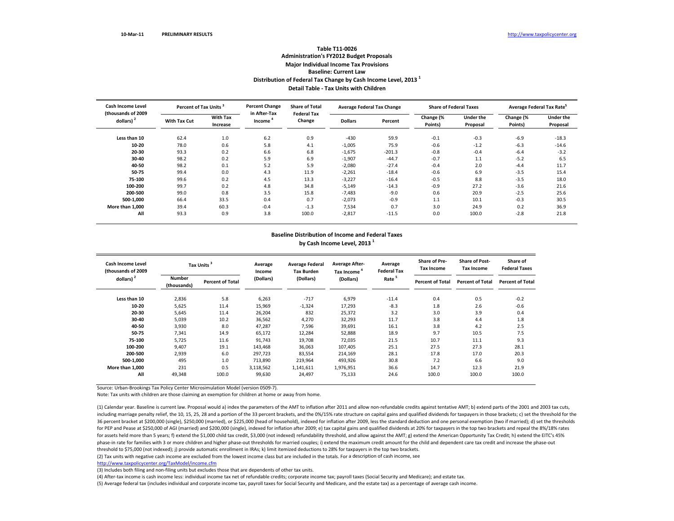### **Table T11‐0026 Administration's FY2012 Budget Proposals Major Individual Income Tax Provisions Baseline: Current LawDistribution of Federal Tax Change by Cash Income Level, <sup>2013</sup> <sup>1</sup> Detail Table ‐ Tax Units with Children**

| <b>Cash Income Level</b><br>(thousands of 2009) | Percent of Tax Units <sup>3</sup> |                             | <b>Percent Change</b><br>in After-Tax | <b>Share of Total</b><br><b>Federal Tax</b> | <b>Average Federal Tax Change</b> |          | <b>Share of Federal Taxes</b> |                              | Average Federal Tax Rate <sup>5</sup> |                              |
|-------------------------------------------------|-----------------------------------|-----------------------------|---------------------------------------|---------------------------------------------|-----------------------------------|----------|-------------------------------|------------------------------|---------------------------------------|------------------------------|
| dollars) <sup>2</sup>                           | <b>With Tax Cut</b>               | <b>With Tax</b><br>Increase | Income                                | Change                                      | <b>Dollars</b>                    | Percent  | Change (%<br>Points)          | <b>Under the</b><br>Proposal | Change (%<br>Points)                  | <b>Under the</b><br>Proposal |
| Less than 10                                    | 62.4                              | 1.0                         | 6.2                                   | 0.9                                         | $-430$                            | 59.9     | $-0.1$                        | $-0.3$                       | $-6.9$                                | $-18.3$                      |
| 10-20                                           | 78.0                              | 0.6                         | 5.8                                   | 4.1                                         | $-1,005$                          | 75.9     | $-0.6$                        | $-1.2$                       | $-6.3$                                | $-14.6$                      |
| 20-30                                           | 93.3                              | 0.2                         | 6.6                                   | 6.8                                         | $-1,675$                          | $-201.3$ | $-0.8$                        | $-0.4$                       | $-6.4$                                | $-3.2$                       |
| 30-40                                           | 98.2                              | 0.2                         | 5.9                                   | 6.9                                         | $-1,907$                          | $-44.7$  | $-0.7$                        | 1.1                          | $-5.2$                                | 6.5                          |
| 40-50                                           | 98.2                              | 0.1                         | 5.2                                   | 5.9                                         | $-2,080$                          | $-27.4$  | $-0.4$                        | 2.0                          | $-4.4$                                | 11.7                         |
| 50-75                                           | 99.4                              | 0.0                         | 4.3                                   | 11.9                                        | $-2,261$                          | $-18.4$  | $-0.6$                        | 6.9                          | $-3.5$                                | 15.4                         |
| 75-100                                          | 99.6                              | 0.2                         | 4.5                                   | 13.3                                        | $-3,227$                          | $-16.4$  | $-0.5$                        | 8.8                          | $-3.5$                                | 18.0                         |
| 100-200                                         | 99.7                              | 0.2                         | 4.8                                   | 34.8                                        | $-5,149$                          | $-14.3$  | $-0.9$                        | 27.2                         | $-3.6$                                | 21.6                         |
| 200-500                                         | 99.0                              | 0.8                         | 3.5                                   | 15.8                                        | $-7,483$                          | $-9.0$   | 0.6                           | 20.9                         | $-2.5$                                | 25.6                         |
| 500-1,000                                       | 66.4                              | 33.5                        | 0.4                                   | 0.7                                         | $-2,073$                          | $-0.9$   | 1.1                           | 10.1                         | $-0.3$                                | 30.5                         |
| More than 1.000                                 | 39.4                              | 60.3                        | $-0.4$                                | $-1.3$                                      | 7,534                             | 0.7      | 3.0                           | 24.9                         | 0.2                                   | 36.9                         |
| All                                             | 93.3                              | 0.9                         | 3.8                                   | 100.0                                       | $-2,817$                          | $-11.5$  | 0.0                           | 100.0                        | $-2.8$                                | 21.8                         |

#### **Baseline Distribution of Income and Federal Taxes**

**by Cash Income Level, <sup>2013</sup> <sup>1</sup>**

| Cash Income Level<br>(thousands of 2009) |                              | Tax Units               | Average<br>Income | <b>Average Federal</b><br><b>Tax Burden</b> | <b>Average After-</b><br>Tax Income <sup>4</sup> | Average<br><b>Federal Tax</b> | <b>Share of Pre-</b><br><b>Tax Income</b> | <b>Share of Post-</b><br><b>Tax Income</b> | Share of<br><b>Federal Taxes</b> |
|------------------------------------------|------------------------------|-------------------------|-------------------|---------------------------------------------|--------------------------------------------------|-------------------------------|-------------------------------------------|--------------------------------------------|----------------------------------|
| dollars) <sup>2</sup>                    | <b>Number</b><br>(thousands) | <b>Percent of Total</b> | (Dollars)         | (Dollars)                                   | (Dollars)                                        | Rate <sup>5</sup>             | <b>Percent of Total</b>                   | <b>Percent of Total</b>                    | <b>Percent of Total</b>          |
| Less than 10                             | 2,836                        | 5.8                     | 6,263             | $-717$                                      | 6,979                                            | $-11.4$                       | 0.4                                       | 0.5                                        | $-0.2$                           |
| 10-20                                    | 5,625                        | 11.4                    | 15,969            | $-1,324$                                    | 17,293                                           | $-8.3$                        | 1.8                                       | 2.6                                        | $-0.6$                           |
| 20-30                                    | 5,645                        | 11.4                    | 26,204            | 832                                         | 25,372                                           | 3.2                           | 3.0                                       | 3.9                                        | 0.4                              |
| 30-40                                    | 5,039                        | 10.2                    | 36,562            | 4,270                                       | 32,293                                           | 11.7                          | 3.8                                       | 4.4                                        | 1.8                              |
| 40-50                                    | 3,930                        | 8.0                     | 47,287            | 7,596                                       | 39,691                                           | 16.1                          | 3.8                                       | 4.2                                        | 2.5                              |
| 50-75                                    | 7,341                        | 14.9                    | 65,172            | 12,284                                      | 52,888                                           | 18.9                          | 9.7                                       | 10.5                                       | 7.5                              |
| 75-100                                   | 5,725                        | 11.6                    | 91,743            | 19,708                                      | 72,035                                           | 21.5                          | 10.7                                      | 11.1                                       | 9.3                              |
| 100-200                                  | 9,407                        | 19.1                    | 143,468           | 36,063                                      | 107,405                                          | 25.1                          | 27.5                                      | 27.3                                       | 28.1                             |
| 200-500                                  | 2,939                        | 6.0                     | 297,723           | 83.554                                      | 214,169                                          | 28.1                          | 17.8                                      | 17.0                                       | 20.3                             |
| 500-1,000                                | 495                          | 1.0                     | 713,890           | 219,964                                     | 493,926                                          | 30.8                          | 7.2                                       | 6.6                                        | 9.0                              |
| More than 1,000                          | 231                          | 0.5                     | 3,118,562         | 1,141,611                                   | 1,976,951                                        | 36.6                          | 14.7                                      | 12.3                                       | 21.9                             |
| All                                      | 49,348                       | 100.0                   | 99,630            | 24,497                                      | 75,133                                           | 24.6                          | 100.0                                     | 100.0                                      | 100.0                            |

Source: Urban‐Brookings Tax Policy Center Microsimulation Model (version 0509‐7).

Note: Tax units with children are those claiming an exemption for children at home or away from home.

(1) Calendar year. Baseline is current law. Proposal would a) index the parameters of the AMT to inflation after 2011 and allow non‐refundable credits against tentative AMT; b) extend parts of the 2001 and 2003 tax cuts, including marriage penalty relief, the 10, 15, 25, 28 and a portion of the 33 percent brackets, and the 0%/15% rate structure on capital gains and qualified dividends for taxpayers in those brackets; c) set the threshold f 36 percent bracket at \$200,000 (single), \$250,000 (married), or \$225,000 (head of household), indexed for inflation after 2009, less the standard deduction and one personal exemption (two if married); d) set the thresholds for PEP and Pease at \$250,000 of AGI (married) and \$200,000 (single), indexed for inflation after 2009; e) tax capital gains and qualified dividends at 20% for taxpayers in the top two brackets and repeal the 8%/18% rates for assets held more than 5 years; f) extend the \$1,000 child tax credit, \$3,000 (not indexed) refundability threshold, and allow against the AMT; g) extend the American Opportunity Tax Credit; h) extend the EITC's 45% phase‐in rate for families with 3 or more children and higher phase‐out thresholds for married couples; i) extend the maximum credit amount for the child and dependent care tax credit and increase the phase‐out threshold to \$75,000 (not indexed); j) provide automatic enrollment in IRAs; k) limit itemized deductions to 28% for taxpayers in the top two brackets.

(2) Tax units with negative cash income are excluded from the lowest income class but are included in the totals. For <sup>a</sup> description of cash income, see

http://www.taxpolicycenter.org/TaxModel/income.cfm

(3) Includes both filing and non-filing units but excludes those that are dependents of other tax units.

(4) After‐tax income is cash income less: individual income tax net of refundable credits; corporate income tax; payroll taxes (Social Security and Medicare); and estate tax.